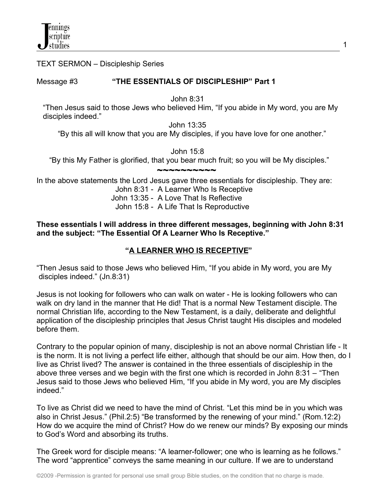TEXT SERMON – Discipleship Series

## Message #3 **"THE ESSENTIALS OF DISCIPLESHIP" Part 1**

John 8:31

 "Then Jesus said to those Jews who believed Him, "If you abide in My word, you are My disciples indeed."

John 13:35

"By this all will know that you are My disciples, if you have love for one another."

John 15:8

"By this My Father is glorified, that you bear much fruit; so you will be My disciples."

 **~~~~~~~~~~** In the above statements the Lord Jesus gave three essentials for discipleship. They are:

John 8:31 - A Learner Who Is Receptive

John 13:35 - A Love That Is Reflective

John 15:8 - A Life That Is Reproductive

## **These essentials I will address in three different messages, beginning with John 8:31 and the subject: "The Essential Of A Learner Who Is Receptive."**

# **"A LEARNER WHO IS RECEPTIVE"**

"Then Jesus said to those Jews who believed Him, "If you abide in My word, you are My disciples indeed." (Jn.8:31)

Jesus is not looking for followers who can walk on water - He is looking followers who can walk on dry land in the manner that He did! That is a normal New Testament disciple. The normal Christian life, according to the New Testament, is a daily, deliberate and delightful application of the discipleship principles that Jesus Christ taught His disciples and modeled before them.

Contrary to the popular opinion of many, discipleship is not an above normal Christian life - It is the norm. It is not living a perfect life either, although that should be our aim. How then, do I live as Christ lived? The answer is contained in the three essentials of discipleship in the above three verses and we begin with the first one which is recorded in John 8:31 – "Then Jesus said to those Jews who believed Him, "If you abide in My word, you are My disciples indeed."

To live as Christ did we need to have the mind of Christ. "Let this mind be in you which was also in Christ Jesus." (Phil.2:5) "Be transformed by the renewing of your mind." (Rom.12:2) How do we acquire the mind of Christ? How do we renew our minds? By exposing our minds to God's Word and absorbing its truths.

The Greek word for disciple means: "A learner-follower; one who is learning as he follows." The word "apprentice" conveys the same meaning in our culture. If we are to understand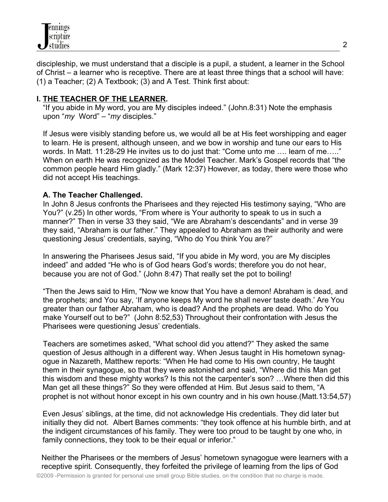discipleship, we must understand that a disciple is a pupil, a student, a learner in the School of Christ – a learner who is receptive. There are at least three things that a school will have: (1) a Teacher; (2) A Textbook; (3) and A Test. Think first about:

## **I. THE TEACHER OF THE LEARNER.**

 "If you abide in My word, you are My disciples indeed." (John.8:31) Note the emphasis upon "*my* Word" – "*my* disciples."

 If Jesus were visibly standing before us, we would all be at His feet worshipping and eager to learn. He is present, although unseen, and we bow in worship and tune our ears to His words. In Matt. 11:28-29 He invites us to do just that: "Come unto me …. learn of me….." When on earth He was recognized as the Model Teacher. Mark's Gospel records that "the common people heard Him gladly." (Mark 12:37) However, as today, there were those who did not accept His teachings.

## **A. The Teacher Challenged.**

 In John 8 Jesus confronts the Pharisees and they rejected His testimony saying, "Who are You?" (v.25) In other words, "From where is Your authority to speak to us in such a manner?" Then in verse 33 they said, "We are Abraham's descendants" and in verse 39 they said, "Abraham is our father." They appealed to Abraham as their authority and were questioning Jesus' credentials, saying, "Who do You think You are?"

 In answering the Pharisees Jesus said, "If you abide in My word, you are My disciples indeed" and added "He who is of God hears God's words; therefore you do not hear, because you are not of God." (John 8:47) That really set the pot to boiling!

 "Then the Jews said to Him, "Now we know that You have a demon! Abraham is dead, and the prophets; and You say, 'If anyone keeps My word he shall never taste death.' Are You greater than our father Abraham, who is dead? And the prophets are dead. Who do You make Yourself out to be?" (John 8:52,53) Throughout their confrontation with Jesus the Pharisees were questioning Jesus' credentials.

 Teachers are sometimes asked, "What school did you attend?" They asked the same question of Jesus although in a different way. When Jesus taught in His hometown synag ogue in Nazareth, Matthew reports: "When He had come to His own country, He taught them in their synagogue, so that they were astonished and said, "Where did this Man get this wisdom and these mighty works? Is this not the carpenter's son? …Where then did this Man get all these things?" So they were offended at Him. But Jesus said to them, "A prophet is not without honor except in his own country and in his own house.(Matt.13:54,57)

 Even Jesus' siblings, at the time, did not acknowledge His credentials. They did later but initially they did not. Albert Barnes comments: "they took offence at his humble birth, and at the indigent circumstances of his family. They were too proud to be taught by one who, in family connections, they took to be their equal or inferior."

Neither the Pharisees or the members of Jesus' hometown synagogue were learners with a receptive spirit. Consequently, they forfeited the privilege of learning from the lips of God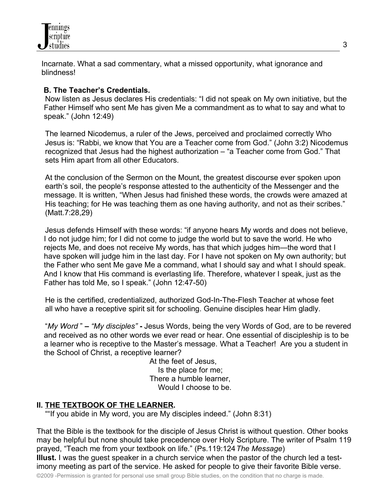

Incarnate. What a sad commentary, what a missed opportunity, what ignorance and blindness!

#### **B. The Teacher's Credentials.**

 Now listen as Jesus declares His credentials: "I did not speak on My own initiative, but the Father Himself who sent Me has given Me a commandment as to what to say and what to speak." (John 12:49)

 The learned Nicodemus, a ruler of the Jews, perceived and proclaimed correctly Who Jesus is: "Rabbi, we know that You are a Teacher come from God." (John 3:2) Nicodemus recognized that Jesus had the highest authorization – "a Teacher come from God." That sets Him apart from all other Educators.

 At the conclusion of the Sermon on the Mount, the greatest discourse ever spoken upon earth's soil, the people's response attested to the authenticity of the Messenger and the message. It is written, "When Jesus had finished these words, the crowds were amazed at His teaching; for He was teaching them as one having authority, and not as their scribes." (Matt.7:28,29)

 Jesus defends Himself with these words: "if anyone hears My words and does not believe, I do not judge him; for I did not come to judge the world but to save the world. He who rejects Me, and does not receive My words, has that which judges him—the word that I have spoken will judge him in the last day. For I have not spoken on My own authority; but the Father who sent Me gave Me a command, what I should say and what I should speak. And I know that His command is everlasting life. Therefore, whatever I speak, just as the Father has told Me, so I speak." (John 12:47-50)

 He is the certified, credentialized, authorized God-In-The-Flesh Teacher at whose feet all who have a receptive spirit sit for schooling. Genuine disciples hear Him gladly.

"*My Word* " **–** *"My disciples"* **-** Jesus Words, being the very Words of God, are to be revered and received as no other words we ever read or hear. One essential of discipleship is to be a learner who is receptive to the Master's message. What a Teacher! Are you a student in the School of Christ, a receptive learner?

> At the feet of Jesus, Is the place for me; There a humble learner, Would I choose to be.

#### **II. THE TEXTBOOK OF THE LEARNER.**

""If you abide in My word, you are My disciples indeed." (John 8:31)

That the Bible is the textbook for the disciple of Jesus Christ is without question. Other books may be helpful but none should take precedence over Holy Scripture. The writer of Psalm 119 prayed, "Teach me from your textbook on life." (Ps.119:124 *The Message*) **Illust.** I was the guest speaker in a church service when the pastor of the church led a testimony meeting as part of the service. He asked for people to give their favorite Bible verse.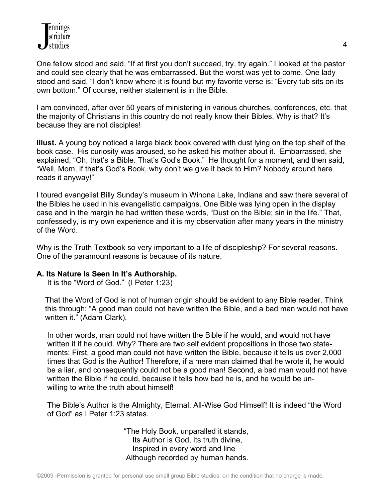One fellow stood and said, "If at first you don't succeed, try, try again." I looked at the pastor and could see clearly that he was embarrassed. But the worst was yet to come. One lady stood and said, "I don't know where it is found but my favorite verse is: "Every tub sits on its own bottom." Of course, neither statement is in the Bible.

I am convinced, after over 50 years of ministering in various churches, conferences, etc. that the majority of Christians in this country do not really know their Bibles. Why is that? It's because they are not disciples!

**Illust.** A young boy noticed a large black book covered with dust lying on the top shelf of the book case. His curiosity was aroused, so he asked his mother about it. Embarrassed, she explained, "Oh, that's a Bible. That's God's Book." He thought for a moment, and then said, "Well, Mom, if that's God's Book, why don't we give it back to Him? Nobody around here reads it anyway!"

I toured evangelist Billy Sunday's museum in Winona Lake, Indiana and saw there several of the Bibles he used in his evangelistic campaigns. One Bible was lying open in the display case and in the margin he had written these words, "Dust on the Bible; sin in the life." That, confessedly, is my own experience and it is my observation after many years in the ministry of the Word.

Why is the Truth Textbook so very important to a life of discipleship? For several reasons. One of the paramount reasons is because of its nature.

#### **A. Its Nature Is Seen In It's Authorship.**

It is the "Word of God." (I Peter 1:23)

 That the Word of God is not of human origin should be evident to any Bible reader. Think this through: "A good man could not have written the Bible, and a bad man would not have written it." (Adam Clark).

 In other words, man could not have written the Bible if he would, and would not have written it if he could. Why? There are two self evident propositions in those two state ments: First, a good man could not have written the Bible, because it tells us over 2,000 times that God is the Author! Therefore, if a mere man claimed that he wrote it, he would be a liar, and consequently could not be a good man! Second, a bad man would not have written the Bible if he could, because it tells how bad he is, and he would be un willing to write the truth about himself!

 The Bible's Author is the Almighty, Eternal, All-Wise God Himself! It is indeed "the Word of God" as I Peter 1:23 states.

> "The Holy Book, unparalled it stands, Its Author is God, its truth divine, Inspired in every word and line Although recorded by human hands.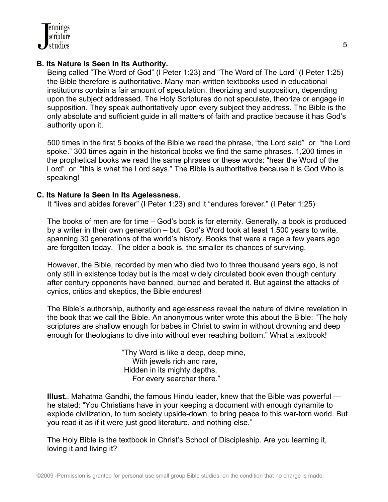## **B. Its Nature Is Seen In Its Authority.**

 Being called "The Word of God" (I Peter 1:23) and "The Word of The Lord" (I Peter 1:25) the Bible therefore is authoritative. Many man-written textbooks used in educational institutions contain a fair amount of speculation, theorizing and supposition, depending upon the subject addressed. The Holy Scriptures do not speculate, theorize or engage in supposition. They speak authoritatively upon every subject they address. The Bible is the only absolute and sufficient guide in all matters of faith and practice because it has God's authority upon it.

 500 times in the first 5 books of the Bible we read the phrase, "the Lord said" or "the Lord spoke." 300 times again in the historical books we find the same phrases. 1,200 times in the prophetical books we read the same phrases or these words: "hear the Word of the Lord" or "this is what the Lord says." The Bible is authoritative because it is God Who is speaking!

### **C. Its Nature Is Seen In Its Agelessness.**

It "lives and abides forever" (I Peter 1:23) and it "endures forever." (I Peter 1:25)

 The books of men are for time – God's book is for eternity. Generally, a book is produced by a writer in their own generation – but God's Word took at least 1,500 years to write, spanning 30 generations of the world's history. Books that were a rage a few years ago are forgotten today. The older a book is, the smaller its chances of surviving.

 However, the Bible, recorded by men who died two to three thousand years ago, is not only still in existence today but is the most widely circulated book even though century after century opponents have banned, burned and berated it. But against the attacks of cynics, critics and skeptics, the Bible endures!

 The Bible's authorship, authority and agelessness reveal the nature of divine revelation in the book that we call the Bible. An anonymous writer wrote this about the Bible: "The holy scriptures are shallow enough for babes in Christ to swim in without drowning and deep enough for theologians to dive into without ever reaching bottom." What a textbook!

> "Thy Word is like a deep, deep mine, With jewels rich and rare, Hidden in its mighty depths, For every searcher there."

 **Illust.**. Mahatma Gandhi, the famous Hindu leader, knew that the Bible was powerful he stated: "You Christians have in your keeping a document with enough dynamite to explode civilization, to turn society upside-down, to bring peace to this war-torn world. But you read it as if it were just good literature, and nothing else."

 The Holy Bible is the textbook in Christ's School of Discipleship. Are you learning it, loving it and living it?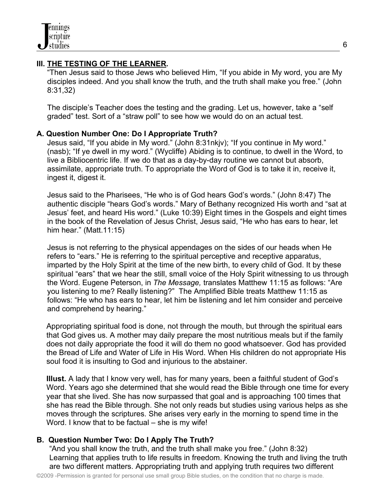## **III. THE TESTING OF THE LEARNER.**

 "Then Jesus said to those Jews who believed Him, "If you abide in My word, you are My disciples indeed. And you shall know the truth, and the truth shall make you free." (John 8:31,32)

 The disciple's Teacher does the testing and the grading. Let us, however, take a "self graded" test. Sort of a "straw poll" to see how we would do on an actual test.

## **A. Question Number One: Do I Appropriate Truth?**

 Jesus said, "If you abide in My word." (John 8:31nkjv); "If you continue in My word." (nasb); "If ye dwell in my word." (Wycliffe) Abiding is to continue, to dwell in the Word, to live a Bibliocentric life. If we do that as a day-by-day routine we cannot but absorb, assimilate, appropriate truth. To appropriate the Word of God is to take it in, receive it, ingest it, digest it.

 Jesus said to the Pharisees, "He who is of God hears God's words." (John 8:47) The authentic disciple "hears God's words." Mary of Bethany recognized His worth and "sat at Jesus' feet, and heard His word." (Luke 10:39) Eight times in the Gospels and eight times in the book of the Revelation of Jesus Christ, Jesus said, "He who has ears to hear, let him hear." (Matt.11:15)

 Jesus is not referring to the physical appendages on the sides of our heads when He refers to "ears." He is referring to the spiritual perceptive and receptive apparatus, imparted by the Holy Spirit at the time of the new birth, to every child of God. It by these spiritual "ears" that we hear the still, small voice of the Holy Spirit witnessing to us through the Word. Eugene Peterson, in *The Message,* translates Matthew 11:15 as follows: "Are you listening to me? Really listening?" The Amplified Bible treats Matthew 11:15 as follows: "He who has ears to hear, let him be listening and let him consider and perceive and comprehend by hearing."

Appropriating spiritual food is done, not through the mouth, but through the spiritual ears that God gives us. A mother may daily prepare the most nutritious meals but if the family does not daily appropriate the food it will do them no good whatsoever. God has provided the Bread of Life and Water of Life in His Word. When His children do not appropriate His soul food it is insulting to God and injurious to the abstainer.

**Illust.** A lady that I know very well, has for many years, been a faithful student of God's Word. Years ago she determined that she would read the Bible through one time for every year that she lived. She has now surpassed that goal and is approaching 100 times that she has read the Bible through. She not only reads but studies using various helps as she moves through the scriptures. She arises very early in the morning to spend time in the Word. I know that to be factual – she is my wife!

# **B. Question Number Two: Do I Apply The Truth?**

 "And you shall know the truth, and the truth shall make you free." (John 8:32) Learning that applies truth to life results in freedom. Knowing the truth and living the truth are two different matters. Appropriating truth and applying truth requires two different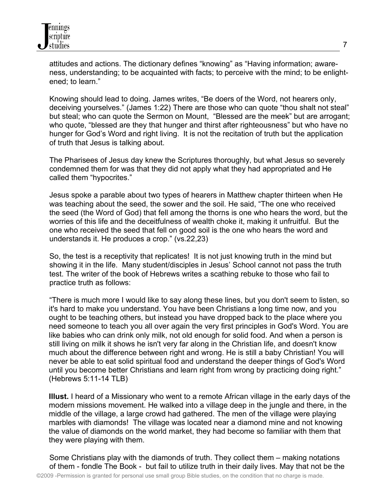attitudes and actions. The dictionary defines "knowing" as "Having information; aware ness, understanding; to be acquainted with facts; to perceive with the mind; to be enlight ened; to learn."

 Knowing should lead to doing. James writes, "Be doers of the Word, not hearers only, deceiving yourselves." (James 1:22) There are those who can quote "thou shalt not steal" but steal; who can quote the Sermon on Mount, "Blessed are the meek" but are arrogant; who quote, "blessed are they that hunger and thirst after righteousness" but who have no hunger for God's Word and right living. It is not the recitation of truth but the application of truth that Jesus is talking about.

 The Pharisees of Jesus day knew the Scriptures thoroughly, but what Jesus so severely condemned them for was that they did not apply what they had appropriated and He called them "hypocrites."

 Jesus spoke a parable about two types of hearers in Matthew chapter thirteen when He was teaching about the seed, the sower and the soil. He said, "The one who received the seed (the Word of God) that fell among the thorns is one who hears the word, but the worries of this life and the deceitfulness of wealth choke it, making it unfruitful. But the one who received the seed that fell on good soil is the one who hears the word and understands it. He produces a crop." (vs.22,23)

 So, the test is a receptivity that replicates! It is not just knowing truth in the mind but showing it in the life. Many student/disciples in Jesus' School cannot not pass the truth test. The writer of the book of Hebrews writes a scathing rebuke to those who fail to practice truth as follows:

 "There is much more I would like to say along these lines, but you don't seem to listen, so it's hard to make you understand. You have been Christians a long time now, and you ought to be teaching others, but instead you have dropped back to the place where you need someone to teach you all over again the very first principles in God's Word. You are like babies who can drink only milk, not old enough for solid food. And when a person is still living on milk it shows he isn't very far along in the Christian life, and doesn't know much about the difference between right and wrong. He is still a baby Christian! You will never be able to eat solid spiritual food and understand the deeper things of God's Word until you become better Christians and learn right from wrong by practicing doing right." (Hebrews 5:11-14 TLB)

**Illust.** I heard of a Missionary who went to a remote African village in the early days of the modern missions movement. He walked into a village deep in the jungle and there, in the middle of the village, a large crowd had gathered. The men of the village were playing marbles with diamonds! The village was located near a diamond mine and not knowing the value of diamonds on the world market, they had become so familiar with them that they were playing with them.

 Some Christians play with the diamonds of truth. They collect them – making notations of them - fondle The Book - but fail to utilize truth in their daily lives. May that not be the